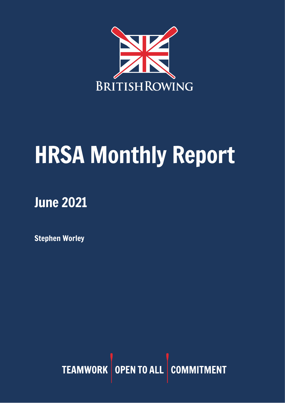

# HRSA Monthly Report

## June 2021

Stephen Worley

TEAMWORK OPEN TO ALL COMMITMENT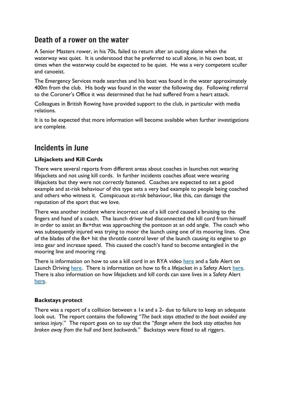## Death of a rower on the water

A Senior Masters rower, in his 70s, failed to return after an outing alone when the waterway was quiet. It is understood that he preferred to scull alone, in his own boat, at times when the waterway could be expected to be quiet. He was a very competent sculler and canoeist.

The Emergency Services made searches and his boat was found in the water approximately 400m from the club. His body was found in the water the following day. Following referral to the Coroner's Office it was determined that he had suffered from a heart attack.

Colleagues in British Rowing have provided support to the club, in particular with media relations.

It is to be expected that more information will become available when further investigations are complete.

## Incidents in June

#### **Lifejackets and Kill Cords**

There were several reports from different areas about coaches in launches not wearing lifejackets and not using kill cords. In further incidents coaches afloat were wearing lifejackets but they were not correctly fastened. Coaches are expected to set a good example and at-risk behaviour of this type sets a very bad example to people being coached and others who witness it. Conspicuous at-risk behaviour, like this, can damage the reputation of the sport that we love.

There was another incident where incorrect use of a kill cord caused a bruising to the fingers and hand of a coach. The launch driver had disconnected the kill cord from himself in order to assist an 8x+that was approaching the pontoon at an odd angle. The coach who was subsequently injured was trying to moor the launch using one of its mooring lines. One of the blades of the 8x+ hit the throttle control lever of the launch causing its engine to go into gear and increase speed. This caused the coach's hand to become entangled in the mooring line and mooring ring.

There is information on how to use a kill cord in an RYA video [here](https://www.youtube.com/watch?v=hZ7jEqpvWu8) and a Safe Alert on Launch Driving [here.](https://www.britishrowing.org/wp-content/uploads/2015/09/Safety-Alert-February-2015-Lifejackets.pdf) There is information on how to fit a lifejacket in a Safety Alert here. There is also information on how lifejackets and kill cords can save lives in a Safety Alert [here.](https://www.britishrowing.org/wp-content/uploads/2015/09/Safety-Alert-Safety-Equipment-can-save-your-life-1.pdf)

#### **Backstays protect**

There was a report of a collision between a 1x and a 2- due to failure to keep an adequate look out. The report contains the following "*The back stays attached to the boat avoided any serious injury*." The report goes on to say that the "*flange where the back stay attaches has broken away from the hull and bent backwards.*" Backstays were fitted to all riggers.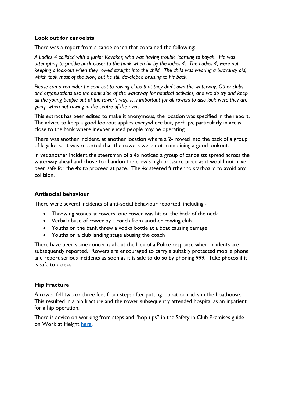#### **Look out for canoeists**

There was a report from a canoe coach that contained the following:-

*A Ladies 4 collided with a Junior Kayaker, who was having trouble learning to kayak. He was attempting to paddle back closer to the bank when hit by the ladies 4. The Ladies 4, were not keeping a look-out when they rowed straight into the child, The child was wearing a buoyancy aid, which took most of the blow, but he still developed bruising to his back.*

*Please can a reminder be sent out to rowing clubs that they don't own the waterway. Other clubs and organisations use the bank side of the waterway for nautical activities, and we do try and keep all the young people out of the rower's way, it is important for all rowers to also look were they are going, when not rowing in the centre of the river.*

This extract has been edited to make it anonymous, the location was specified in the report. The advice to keep a good lookout applies everywhere but, perhaps, particularly in areas close to the bank where inexperienced people may be operating.

There was another incident, at another location where a 2- rowed into the back of a group of kayakers. It was reported that the rowers were not maintaining a good lookout.

In yet another incident the steersman of a 4x noticed a group of canoeists spread across the waterway ahead and chose to abandon the crew's high pressure piece as it would not have been safe for the 4x to proceed at pace. The 4x steered further to starboard to avoid any collision.

#### **Antisocial behaviour**

There were several incidents of anti-social behaviour reported, including:-

- Throwing stones at rowers, one rower was hit on the back of the neck
- Verbal abuse of rower by a coach from another rowing club
- Youths on the bank threw a vodka bottle at a boat causing damage
- Youths on a club landing stage abusing the coach

There have been some concerns about the lack of a Police response when incidents are subsequently reported. Rowers are encouraged to carry a suitably protected mobile phone and report serious incidents as soon as it is safe to do so by phoning 999. Take photos if it is safe to do so.

#### **Hip Fracture**

A rower fell two or three feet from steps after putting a boat on racks in the boathouse. This resulted in a hip fracture and the rower subsequently attended hospital as an inpatient for a hip operation.

There is advice on working from steps and "hop-ups" in the Safety in Club Premises guide on Work at Height [here.](https://www.britishrowing.org/wp-content/uploads/2018/04/1.-Work-at-Height.pdf)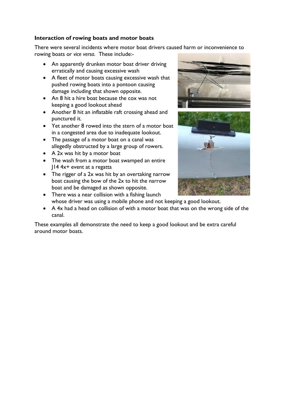#### **Interaction of rowing boats and motor boats**

There were several incidents where motor boat drivers caused harm or inconvenience to rowing boats or *vice versa*. These include:-

- An apparently drunken motor boat driver driving erratically and causing excessive wash
- A fleet of motor boats causing excessive wash that pushed rowing boats into a pontoon causing damage including that shown opposite.
- An 8 hit a hire boat because the cox was not keeping a good lookout ahead
- Another 8 hit an inflatable raft crossing ahead and punctured it.
- Yet another 8 rowed into the stern of a motor boat in a congested area due to inadequate lookout.
- The passage of a motor boat on a canal was allegedly obstructed by a large group of rowers.
- A 2x was hit by a motor boat
- The wash from a motor boat swamped an entire J14 4x+ event at a regatta
- The rigger of a 2x was hit by an overtaking narrow boat causing the bow of the 2x to hit the narrow boat and be damaged as shown opposite.





- There was a near collision with a fishing launch whose driver was using a mobile phone and not keeping a good lookout.
- A 4x had a head on collision of with a motor boat that was on the wrong side of the canal.

These examples all demonstrate the need to keep a good lookout and be extra careful around motor boats.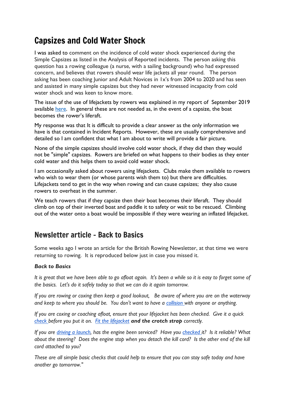## Capsizes and Cold Water Shock

I was asked to comment on the incidence of cold water shock experienced during the Simple Capsizes as listed in the Analysis of Reported incidents. The person asking this question has a rowing colleague (a nurse, with a sailing background) who had expressed concern, and believes that rowers should wear life jackets all year round. The person asking has been coaching Junior and Adult Novices in 1x's from 2004 to 2020 and has seen and assisted in many simple capsizes but they had never witnessed incapacity from cold water shock and was keen to know more.

The issue of the use of lifejackets by rowers was explained in my report of September 2019 available [here.](https://www.britishrowing.org/wp-content/uploads/2019/10/HRSA-Monthly-Report-September-2019-.pdf) In general these are not needed as, in the event of a capsize, the boat becomes the rower's liferaft.

My response was that It is difficult to provide a clear answer as the only information we have is that contained in Incident Reports. However, these are usually comprehensive and detailed so I am confident that what I am about to write will provide a fair picture.

None of the simple capsizes should involve cold water shock, if they did then they would not be "simple" capsizes. Rowers are briefed on what happens to their bodies as they enter cold water and this helps them to avoid cold water shock.

I am occasionally asked about rowers using lifejackets. Clubs make them available to rowers who wish to wear them (or whose parents wish them to) but there are difficulties. Lifejackets tend to get in the way when rowing and can cause capsizes; they also cause rowers to overheat in the summer.

We teach rowers that if they capsize then their boat becomes their liferaft. They should climb on top of their inverted boat and paddle it to safety or wait to be rescued. Climbing out of the water onto a boat would be impossible if they were wearing an inflated lifejacket.

## Newsletter article - Back to Basics

Some weeks ago I wrote an article for the British Rowing Newsletter, at that time we were returning to rowing. It is reproduced below just in case you missed it.

#### *Back to Basics*

*It is great that we have been able to go afloat again. It's been a while so it is easy to forget some of the basics. Let's do it safely today so that we can do it again tomorrow.*

*If you are rowing or coxing then keep a good lookout, Be aware of where you are on the waterway and keep to where you should be. You don't want to have a [collision w](https://www.britishrowing.org/wp-content/uploads/2017/09/Safety-Alert-collision-avoidance.pdf)ith anyone or anything.*

*If you are coxing or coaching afloat, ensure that your lifejacket has been checked. Give it a quick [check b](https://www.britishrowing.org/wp-content/uploads/2015/09/Safety-Alert-check-your-lifejacket.pdf)efore you put it on. [Fit the lifejacket](https://www.britishrowing.org/wp-content/uploads/2015/09/Safety-Alert-February-2015-Lifejackets.pdf) and the crotch strap correctly.*

*If you are [driving a launch,](https://www.britishrowing.org/wp-content/uploads/2015/09/Safety-Alert-February-2015-Launch-Driving.pdf) has the engine been serviced? Have you [checked i](https://www.britishrowing.org/wp-content/uploads/2015/09/Safety-Alert-Outboard-Motor-Safety-Checks.pdf)t? Is it reliable? What about the steering?* Does the engine stop when you detach the kill cord? Is the other end of the kill *cord attached to you?* 

*These are all simple basic checks that could help to ensure that you can stay safe today and have another go tomorrow."*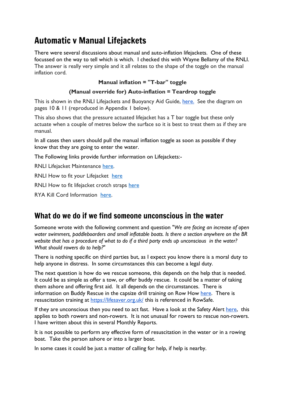## Automatic v Manual Lifejackets

There were several discussions about manual and auto-inflation lifejackets. One of these focussed on the way to tell which is which. I checked this with Wayne Bellamy of the RNLI. The answer is really very simple and it all relates to the shape of the toggle on the manual inflation cord.

#### **Manual inflation = "T-bar" toggle**

#### **(Manual override for) Auto-inflation = Teardrop toggle**

This is shown in the RNLI Lifejackets and Buoyancy Aid Guide, [here.](https://rnli.org/safety/lifejackets) See the diagram on pages 10 & 11 (reproduced in Appendix 1 below).

This also shows that the pressure actuated lifejacket has a T bar toggle but these only actuate when a couple of metres below the surface so it is best to treat them as if they are manual.

In all cases then users should pull the manual inflation toggle as soon as possible if they know that they are going to enter the water.

The Following links provide further information on Lifejackets:-

RNLI Lifejacket Maintenance [here.](https://youtu.be/4kEf5cOe5Zg)

RNLI How to fit your Lifejacket [here](https://youtu.be/mY7IBaRNJ90)

RNLI How to fit lifejacket crotch straps [here](https://youtu.be/VOYHC-wz6OM)

RYA Kill Cord Information [here.](Kill%20cord%20|%20safety%20|%20RYA)

## What do we do if we find someone unconscious in the water

Someone wrote with the following comment and question "*We are facing an increase of open water swimmers, paddleboarders and small inflatable boats. Is there a section anywhere on the BR website that has a procedure of what to do if a third party ends up unconscious in the water? What should rowers do to help?*"

There is nothing specific on third parties but, as I expect you know there is a moral duty to help anyone in distress. In some circumstances this can become a legal duty.

The next question is how do we rescue someone, this depends on the help that is needed. It could be as simple as offer a tow, or offer buddy rescue. It could be a matter of taking them ashore and offering first aid. It all depends on the circumstances. There is information on Buddy Rescue in the capsize drill training on Row How [here.](https://www.rowhow.org/course/view.php?id=195) There is resuscitation training at <https://lifesaver.org.uk/> this is referenced in RowSafe.

If they are unconscious then you need to act fast. Have a look at the Safety Alert [here,](https://www.britishrowing.org/wp-content/uploads/2019/02/Safety-Alert-What-to-do-if-a-rower-collapses-in-a-boat.pdf) this applies to both rowers and non-rowers. It is not unusual for rowers to rescue non-rowers. I have written about this in several Monthly Reports.

It is not possible to perform any effective form of resuscitation in the water or in a rowing boat. Take the person ashore or into a larger boat.

In some cases it could be just a matter of calling for help, if help is nearby.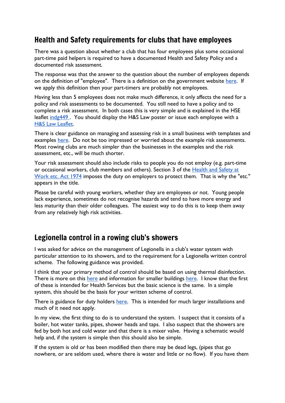## Health and Safety requirements for clubs that have employees

There was a question about whether a club that has four employees plus some occasional part-time paid helpers is required to have a documented Health and Safety Policy and a documented risk assessment.

The response was that the answer to the question about the number of employees depends on the definition of "employee". There is a definition on the government website [here.](https://www.gov.uk/employment-status/employee) If we apply this definition then your part-timers are probably not employees.

Having less than 5 employees does not make much difference, it only affects the need for a policy and risk assessments to be documented. You still need to have a policy and to complete a risk assessment. In both cases this is very simple and is explained in the HSE leaflet indg449. You should display the H&S Law poster or issue each employee with a [H&S Law Leaflet.](https://www.hse.gov.uk/pubns/lawleaflet.pdf)

There is clear guidance on managing and assessing risk in a small business with templates and examples [here.](https://www.hse.gov.uk/simple-health-safety/risk/risk-assessment-template-and-examples.htm) Do not be too impressed or worried about the example risk assessments. Most rowing clubs are much simpler than the businesses in the examples and the risk assessment, etc., will be much shorter.

Your risk assessment should also include risks to people you do not employ (e.g. part-time or occasional workers, club members and others). Section 3 of the Health and Safety at [Work etc. Act 1974](https://www.legislation.gov.uk/ukpga/1974/37/contents) imposes the duty on employers to protect them. That is why the "etc." appears in the title.

Please be careful with young workers, whether they are employees or not. Young people lack experience, sometimes do not recognise hazards and tend to have more energy and less maturity than their older colleagues. The easiest way to do this is to keep them away from any relatively high risk activities.

## Legionella control in a rowing club's showers

I was asked for advice on the management of Legionella in a club's water system with particular attention to its showers, and to the requirement for a Legionella written control scheme. The following guidance was provided.

I think that your primary method of control should be based on using thermal disinfection. T[here](https://www.hse.gov.uk/healthservices/legionella.htm) is more on this here and information for smaller buildings [here.](https://www.hse.gov.uk/legionnaires/hot-and-cold.htm) I know that the first of these is intended for Health Services but the basic science is the same. In a simple system, this should be the basis for your written scheme of control.

There is guidance for duty holders [here.](https://www.hse.gov.uk/pubns/indg458.pdf) This is intended for much larger installations and much of it need not apply.

In my view, the first thing to do is to understand the system. I suspect that it consists of a boiler, hot water tanks, pipes, shower heads and taps. I also suspect that the showers are fed by both hot and cold water and that there is a mixer valve. Having a schematic would help and, if the system is simple then this should also be simple.

If the system is old or has been modified then there may be dead legs, (pipes that go nowhere, or are seldom used, where there is water and little or no flow). If you have them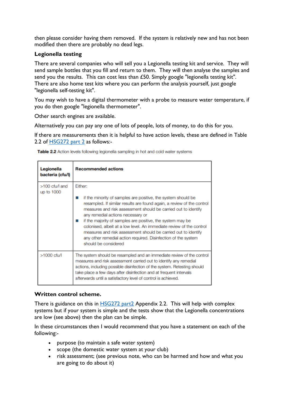then please consider having them removed. If the system is relatively new and has not been modified then there are probably no dead legs.

#### **Legionella testing**

There are several companies who will sell you a Legionella testing kit and service. They will send sample bottles that you fill and return to them. They will then analyse the samples and send you the results. This can cost less than £50. Simply google "legionella testing kit". There are also home test kits where you can perform the analysis yourself, just google "legionella self-testing kit".

You may wish to have a digital thermometer with a probe to measure water temperature, if you do then google "legionella thermometer".

Other search engines are available.

Alternatively you can pay any one of lots of people, lots of money, to do this for you.

If there are measurements then it is helpful to have action levels, these are defined in Table 2.2 of [HSG272](https://www.hse.gov.uk/pubns/priced/hsg274part2.pdf) part 2 as follows:-

Table 2.2 Action levels following legionella sampling in hot and cold water systems

| Legionella<br>bacteria (cfu/l) | <b>Recommended actions</b>                                                                                                                                                                                                                                                                                                                                                                                                                                                                                                                                  |
|--------------------------------|-------------------------------------------------------------------------------------------------------------------------------------------------------------------------------------------------------------------------------------------------------------------------------------------------------------------------------------------------------------------------------------------------------------------------------------------------------------------------------------------------------------------------------------------------------------|
| >100 cfu/l and<br>up to 1000   | Fither:<br>if the minority of samples are positive, the system should be<br>resampled. If similar results are found again, a review of the control<br>measures and risk assessment should be carried out to identify<br>any remedial actions necessary or<br>if the majority of samples are positive, the system may be<br>colonised, albeit at a low level. An immediate review of the control<br>measures and risk assessment should be carried out to identify<br>any other remedial action required. Disinfection of the system<br>should be considered |
| >1000 cfu/l                    | The system should be resampled and an immediate review of the control<br>measures and risk assessment carried out to identify any remedial<br>actions, including possible disinfection of the system. Retesting should<br>take place a few days after disinfection and at frequent intervals<br>afterwards until a satisfactory level of control is achieved.                                                                                                                                                                                               |

#### **Written control scheme.**

There is guidance on this in [HSG272](https://www.hse.gov.uk/pubns/priced/hsg274part2.pdf) part2 Appendix 2.2. This will help with complex systems but if your system is simple and the tests show that the Legionella concentrations are low (see above) then the plan can be simple.

In these circumstances then I would recommend that you have a statement on each of the following:-

- purpose (to maintain a safe water system)
- scope (the domestic water system at your club)
- risk assessment; (see previous note, who can be harmed and how and what you are going to do about it)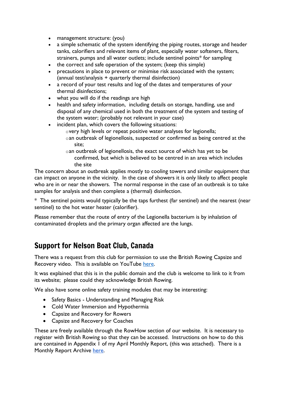- management structure: (you)
- a simple schematic of the system identifying the piping routes, storage and header tanks, calorifiers and relevant items of plant, especially water softeners, filters, strainers, pumps and all water outlets; include sentinel points\* for sampling
- the correct and safe operation of the system; (keep this simple)
- precautions in place to prevent or minimise risk associated with the system; (annual test/analysis + quarterly thermal disinfection)
- a record of your test results and log of the dates and temperatures of your thermal disinfections;
- what you will do if the readings are high
- health and safety information, including details on storage, handling, use and disposal of any chemical used in both the treatment of the system and testing of the system water; (probably not relevant in your case)
- incident plan, which covers the following situations:
	- overy high levels or repeat positive water analyses for legionella; oan outbreak of legionellosis, suspected or confirmed as being centred at the site;
	- oan outbreak of legionellosis, the exact source of which has yet to be confirmed, but which is believed to be centred in an area which includes the site

The concern about an outbreak applies mostly to cooling towers and similar equipment that can impact on anyone in the vicinity. In the case of showers it is only likely to affect people who are in or near the showers. The normal response in the case of an outbreak is to take samples for analysis and then complete a (thermal) disinfection.

\* The sentinel points would typically be the taps furthest (far sentinel) and the nearest (near sentinel) to the hot water heater (calorifier).

Please remember that the route of entry of the Legionella bacterium is by inhalation of contaminated droplets and the primary organ affected are the lungs.

## Support for Nelson Boat Club, Canada

There was a request from this club for permission to use the British Rowing Capsize and Recovery video. This is available on YouTube [here.](https://www.youtube.com/watch?v=A6un3TkbQUQ)

It was explained that this is in the public domain and the club is welcome to link to it from its website; please could they acknowledge British Rowing.

We also have some online safety training modules that may be interesting:

- Safety Basics Understanding and Managing Risk
- Cold Water Immersion and Hypothermia
- Capsize and Recovery for Rowers
- Capsize and Recovery for Coaches

These are freely available through the RowHow section of our website. It is necessary to register with British Rowing so that they can be accessed. Instructions on how to do this are contained in Appendix 1 of my April Monthly Report, (this was attached). There is a Monthly Report Archive [here.](https://www.britishrowing.org/knowledge/safety/hrsa-monthly-report-archive/)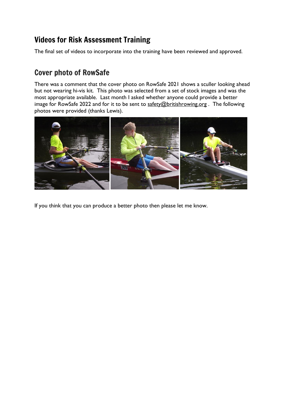## Videos for Risk Assessment Training

The final set of videos to incorporate into the training have been reviewed and approved.

## Cover photo of RowSafe

There was a comment that the cover photo on RowSafe 2021 shows a sculler looking ahead but not wearing hi-vis kit. This photo was selected from a set of stock images and was the most appropriate available. Last month I asked whether anyone could provide a better image for RowSafe 2022 and for it to be sent to [safety@britishrowing.org](mailto:safety@britishrowing.org). The following photos were provided (thanks Lewis).



If you think that you can produce a better photo then please let me know.